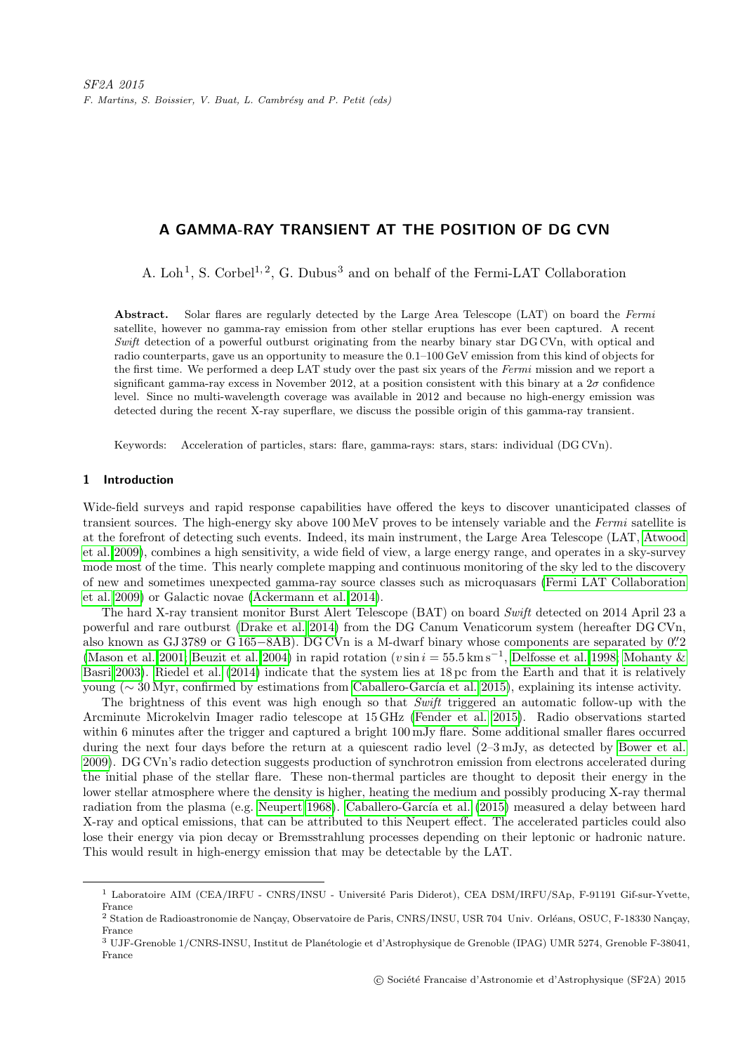# A GAMMA-RAY TRANSIENT AT THE POSITION OF DG CVN

A. Loh<sup>1</sup>, S. Corbel<sup>1,2</sup>, G. Dubus<sup>3</sup> and on behalf of the Fermi-LAT Collaboration

Abstract. Solar flares are regularly detected by the Large Area Telescope (LAT) on board the Fermi satellite, however no gamma-ray emission from other stellar eruptions has ever been captured. A recent Swift detection of a powerful outburst originating from the nearby binary star DG CVn, with optical and radio counterparts, gave us an opportunity to measure the 0.1–100 GeV emission from this kind of objects for the first time. We performed a deep LAT study over the past six years of the Fermi mission and we report a significant gamma-ray excess in November 2012, at a position consistent with this binary at a  $2\sigma$  confidence level. Since no multi-wavelength coverage was available in 2012 and because no high-energy emission was detected during the recent X-ray superflare, we discuss the possible origin of this gamma-ray transient.

Keywords: Acceleration of particles, stars: flare, gamma-rays: stars, stars: individual (DG CVn).

## 1 Introduction

Wide-field surveys and rapid response capabilities have offered the keys to discover unanticipated classes of transient sources. The high-energy sky above 100 MeV proves to be intensely variable and the Fermi satellite is at the forefront of detecting such events. Indeed, its main instrument, the Large Area Telescope (LAT, [Atwood](#page-3-0) [et al. 2009\)](#page-3-0), combines a high sensitivity, a wide field of view, a large energy range, and operates in a sky-survey mode most of the time. This nearly complete mapping and continuous monitoring of the sky led to the discovery of new and sometimes unexpected gamma-ray source classes such as microquasars [\(Fermi LAT Collaboration](#page-3-1) [et al. 2009\)](#page-3-1) or Galactic novae [\(Ackermann et al. 2014\)](#page-3-2).

The hard X-ray transient monitor Burst Alert Telescope (BAT) on board Swift detected on 2014 April 23 a powerful and rare outburst [\(Drake et al. 2014\)](#page-3-3) from the DG Canum Venaticorum system (hereafter DG CVn, also known as GJ 3789 or G 165–8AB). DG CVn is a M-dwarf binary whose components are separated by 0".2 [\(Mason et al. 2001;](#page-3-4) [Beuzit et al. 2004\)](#page-3-5) in rapid rotation ( $v \sin i = 55.5$  km s<sup>-1</sup>, [Delfosse et al. 1998;](#page-3-6) [Mohanty &](#page-3-7) [Basri 2003\)](#page-3-7). [Riedel et al.](#page-3-8) [\(2014\)](#page-3-8) indicate that the system lies at 18 pc from the Earth and that it is relatively young ( $\sim 30$  Myr, confirmed by estimations from Caballero-García et al. 2015), explaining its intense activity.

The brightness of this event was high enough so that Swift triggered an automatic follow-up with the Arcminute Microkelvin Imager radio telescope at 15 GHz [\(Fender et al. 2015\)](#page-3-10). Radio observations started within 6 minutes after the trigger and captured a bright 100 mJy flare. Some additional smaller flares occurred during the next four days before the return at a quiescent radio level (2–3 mJy, as detected by [Bower et al.](#page-3-11) [2009\)](#page-3-11). DG CVn's radio detection suggests production of synchrotron emission from electrons accelerated during the initial phase of the stellar flare. These non-thermal particles are thought to deposit their energy in the lower stellar atmosphere where the density is higher, heating the medium and possibly producing X-ray thermal radiation from the plasma (e.g. [Neupert 1968\)](#page-3-12). Caballero-García et al. [\(2015\)](#page-3-9) measured a delay between hard X-ray and optical emissions, that can be attributed to this Neupert effect. The accelerated particles could also lose their energy via pion decay or Bremsstrahlung processes depending on their leptonic or hadronic nature. This would result in high-energy emission that may be detectable by the LAT.

<sup>&</sup>lt;sup>1</sup> Laboratoire AIM (CEA/IRFU - CNRS/INSU - Université Paris Diderot), CEA DSM/IRFU/SAp, F-91191 Gif-sur-Yvette, France

<sup>&</sup>lt;sup>2</sup> Station de Radioastronomie de Nançay, Observatoire de Paris, CNRS/INSU, USR 704 Univ. Orléans, OSUC, F-18330 Nançay, France

<sup>3</sup> UJF-Grenoble 1/CNRS-INSU, Institut de Plan´etologie et d'Astrophysique de Grenoble (IPAG) UMR 5274, Grenoble F-38041, France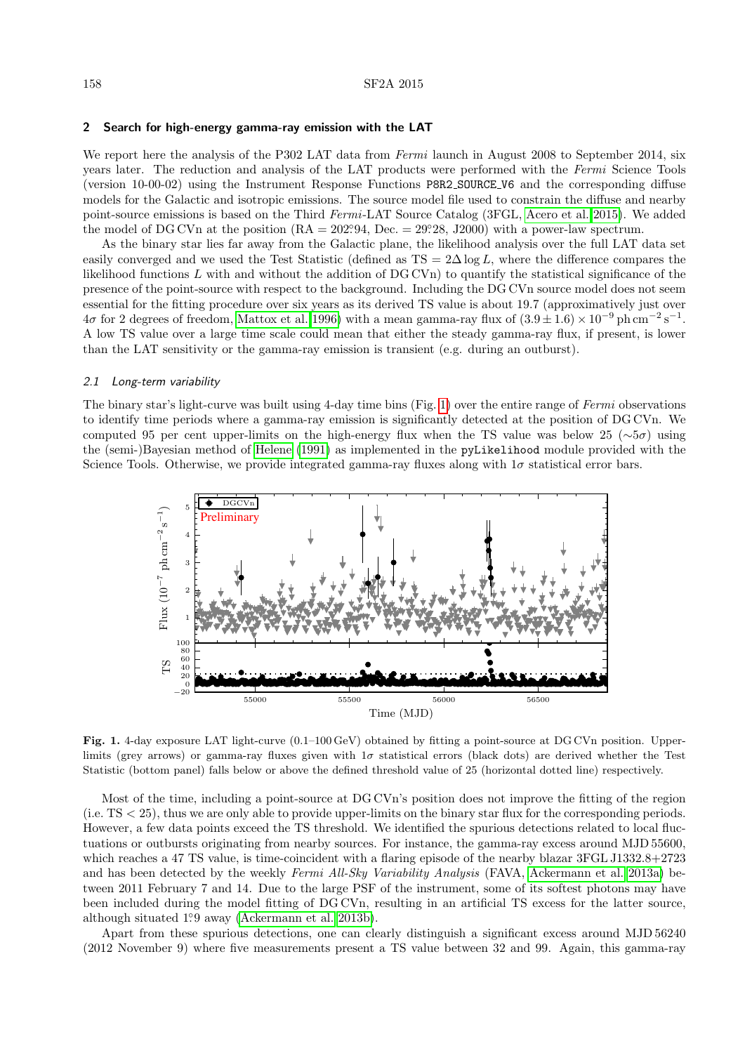#### 2 Search for high-energy gamma-ray emission with the LAT

We report here the analysis of the P302 LAT data from Fermi launch in August 2008 to September 2014, six years later. The reduction and analysis of the LAT products were performed with the Fermi Science Tools (version 10-00-02) using the Instrument Response Functions P8R2 SOURCE V6 and the corresponding diffuse models for the Galactic and isotropic emissions. The source model file used to constrain the diffuse and nearby point-source emissions is based on the Third Fermi-LAT Source Catalog (3FGL, [Acero et al. 2015\)](#page-3-13). We added the model of DG CVn at the position  $(RA = 202.94, Dec. = 29.28, J2000)$  with a power-law spectrum.

As the binary star lies far away from the Galactic plane, the likelihood analysis over the full LAT data set easily converged and we used the Test Statistic (defined as  $TS = 2\Delta \log L$ , where the difference compares the likelihood functions L with and without the addition of DG CVn) to quantify the statistical significance of the presence of the point-source with respect to the background. Including the DG CVn source model does not seem essential for the fitting procedure over six years as its derived TS value is about 19.7 (approximatively just over  $4\sigma$  for 2 degrees of freedom, [Mattox et al. 1996\)](#page-3-14) with a mean gamma-ray flux of  $(3.9 \pm 1.6) \times 10^{-9}$  ph cm<sup>-2</sup> s<sup>-1</sup>. A low TS value over a large time scale could mean that either the steady gamma-ray flux, if present, is lower than the LAT sensitivity or the gamma-ray emission is transient (e.g. during an outburst).

## 2.1 Long-term variability

The binary star's light-curve was built using 4-day time bins (Fig. [1\)](#page-1-0) over the entire range of Fermi observations to identify time periods where a gamma-ray emission is significantly detected at the position of DG CVn. We computed 95 per cent upper-limits on the high-energy flux when the TS value was below 25 ( $\sim 5\sigma$ ) using the (semi-)Bayesian method of [Helene](#page-3-15) [\(1991\)](#page-3-15) as implemented in the pyLikelihood module provided with the Science Tools. Otherwise, we provide integrated gamma-ray fluxes along with  $1\sigma$  statistical error bars.



<span id="page-1-0"></span>Fig. 1. 4-day exposure LAT light-curve (0.1–100 GeV) obtained by fitting a point-source at DG CVn position. Upperlimits (grey arrows) or gamma-ray fluxes given with  $1\sigma$  statistical errors (black dots) are derived whether the Test Statistic (bottom panel) falls below or above the defined threshold value of 25 (horizontal dotted line) respectively.

Most of the time, including a point-source at DG CVn's position does not improve the fitting of the region (i.e. TS < 25), thus we are only able to provide upper-limits on the binary star flux for the corresponding periods. However, a few data points exceed the TS threshold. We identified the spurious detections related to local fluctuations or outbursts originating from nearby sources. For instance, the gamma-ray excess around MJD 55600, which reaches a 47 TS value, is time-coincident with a flaring episode of the nearby blazar 3FGL J1332.8+2723 and has been detected by the weekly Fermi All-Sky Variability Analysis (FAVA, [Ackermann et al. 2013a\)](#page-3-16) between 2011 February 7 and 14. Due to the large PSF of the instrument, some of its softest photons may have been included during the model fitting of DG CVn, resulting in an artificial TS excess for the latter source, although situated 1°.9 away [\(Ackermann et al. 2013b\)](#page-3-17).

Apart from these spurious detections, one can clearly distinguish a significant excess around MJD 56240 (2012 November 9) where five measurements present a TS value between 32 and 99. Again, this gamma-ray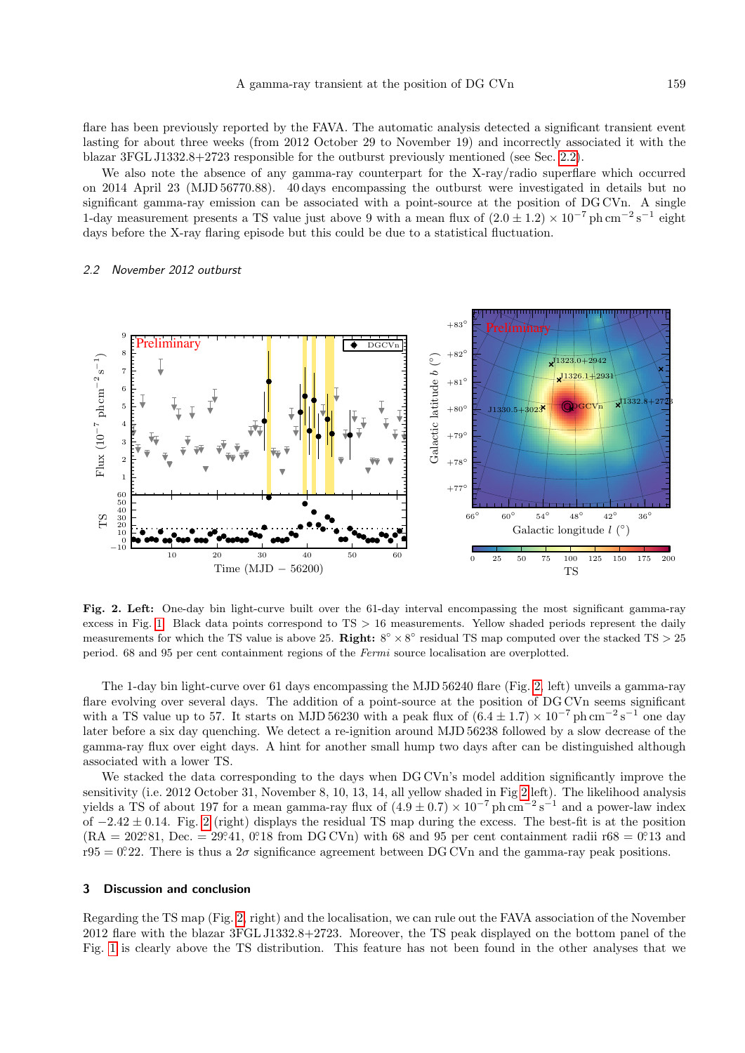flare has been previously reported by the FAVA. The automatic analysis detected a significant transient event lasting for about three weeks (from 2012 October 29 to November 19) and incorrectly associated it with the blazar 3FGL J1332.8+2723 responsible for the outburst previously mentioned (see Sec. [2.2\)](#page-2-0).

We also note the absence of any gamma-ray counterpart for the X-ray/radio superflare which occurred on 2014 April 23 (MJD 56770.88). 40 days encompassing the outburst were investigated in details but no significant gamma-ray emission can be associated with a point-source at the position of DG CVn. A single 1-day measurement presents a TS value just above 9 with a mean flux of  $(2.0 \pm 1.2) \times 10^{-7}$  ph cm<sup>-2</sup> s<sup>-1</sup> eight days before the X-ray flaring episode but this could be due to a statistical fluctuation.

## <span id="page-2-0"></span>2.2 November 2012 outburst



<span id="page-2-1"></span>Fig. 2. Left: One-day bin light-curve built over the 61-day interval encompassing the most significant gamma-ray excess in Fig. [1.](#page-1-0) Black data points correspond to  $TS > 16$  measurements. Yellow shaded periods represent the daily measurements for which the TS value is above 25. **Right:**  $8^{\circ} \times 8^{\circ}$  residual TS map computed over the stacked TS  $> 25$ period. 68 and 95 per cent containment regions of the Fermi source localisation are overplotted.

The 1-day bin light-curve over 61 days encompassing the MJD 56240 flare (Fig. [2,](#page-2-1) left) unveils a gamma-ray flare evolving over several days. The addition of a point-source at the position of DG CVn seems significant with a TS value up to 57. It starts on MJD 56230 with a peak flux of  $(6.4 \pm 1.7) \times 10^{-7}$  ph cm<sup>-2</sup> s<sup>-1</sup> one day later before a six day quenching. We detect a re-ignition around MJD 56238 followed by a slow decrease of the gamma-ray flux over eight days. A hint for another small hump two days after can be distinguished although associated with a lower TS.

We stacked the data corresponding to the days when DG CVn's model addition significantly improve the sensitivity (i.e. 2012 October 31, November 8, 10, 13, 14, all yellow shaded in Fig [2](#page-2-1) left). The likelihood analysis yields a TS of about 197 for a mean gamma-ray flux of  $(4.9 \pm 0.7) \times 10^{-7}$  ph cm<sup>-2</sup> s<sup>-1</sup> and a power-law index of  $-2.42 \pm 0.14$ . Fig. [2](#page-2-1) (right) displays the residual TS map during the excess. The best-fit is at the position  $(RA = 202.81, Dec. = 29.41, 0.18$  from DG CVn) with 68 and 95 per cent containment radii r68 = 0.13 and  $r95 = 0°22$ . There is thus a  $2\sigma$  significance agreement between DG CVn and the gamma-ray peak positions.

## 3 Discussion and conclusion

Regarding the TS map (Fig. [2,](#page-2-1) right) and the localisation, we can rule out the FAVA association of the November 2012 flare with the blazar 3FGL J1332.8+2723. Moreover, the TS peak displayed on the bottom panel of the Fig. [1](#page-1-0) is clearly above the TS distribution. This feature has not been found in the other analyses that we